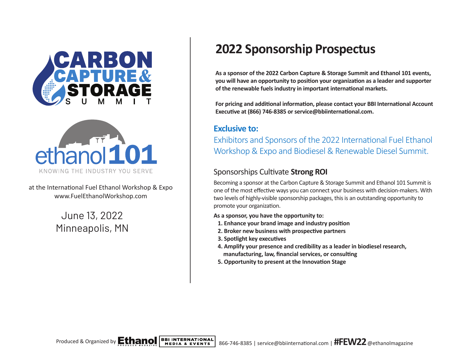



at the International Fuel Ethanol Workshop & Expo www.FuelEthanolWorkshop.com

> June 13, 2022 Minneapolis, MN

Produced & Organized by

# **2022 Sponsorship Prospectus**

**As a sponsor of the 2022 Carbon Capture & Storage Summit and Ethanol 101 events, you will have an opportunity to position your organization as a leader and supporter of the renewable fuels industry in important international markets.** 

**For pricing and additional information, please contact your BBI International Account Executive at (866) 746-8385 or service@bbiinternational.com.**

### **Exclusive to:**

:LVFRQVLQ

Workshop & Expo and Biodiesel & Renewable Diesel Summit. Exhibitors and Sponsors of the 2022 International Fuel Ethanol

### **EXECUTE: SPONSORSHIPS Cultivate Strong ROI**

Becoming a sponsor at the Carbon Capture & Storage Summit and Ethanol 101 Summit is one of the most effective ways you can connect your business with decision-makers. With two levels of highly-visible sponsorship packages, this is an outstanding opportunity to promote your organization.

**As a sponsor, you have the opportunity to:**

- **1. Enhance your brand image and industry position**
- **2. Broker new business with prospective partners**
- **3. Spotlight key executives**
- **4. Amplify your presence and credibility as a leader in biodiesel research, manufacturing, law, financial services, or consulting**
- **5. Opportunity to present at the Innovation Stage**